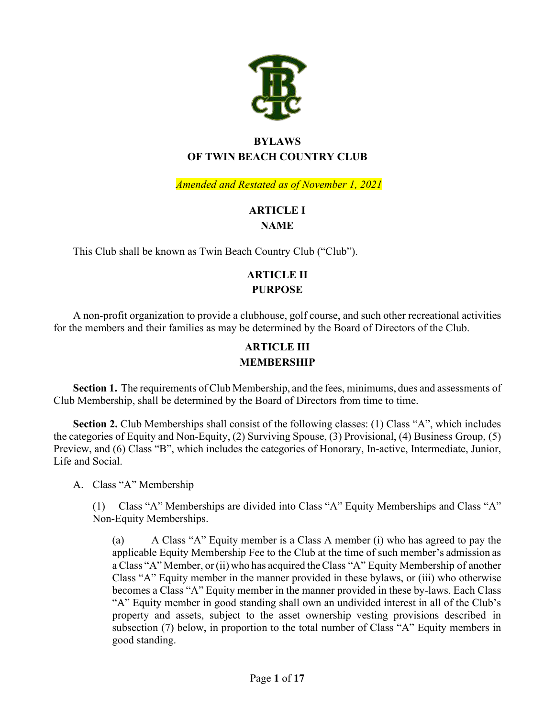

# **BYLAWS OF TWIN BEACH COUNTRY CLUB**

*Amended and Restated as of November 1, 2021*

# **ARTICLE I**

#### **NAME**

This Club shall be known as Twin Beach Country Club ("Club").

# **ARTICLE II PURPOSE**

A non-profit organization to provide a clubhouse, golf course, and such other recreational activities for the members and their families as may be determined by the Board of Directors of the Club.

## **ARTICLE III MEMBERSHIP**

**Section 1.** The requirements of Club Membership, and the fees, minimums, dues and assessments of Club Membership, shall be determined by the Board of Directors from time to time.

**Section 2.** Club Memberships shall consist of the following classes: (1) Class "A", which includes the categories of Equity and Non-Equity, (2) Surviving Spouse, (3) Provisional, (4) Business Group, (5) Preview, and (6) Class "B", which includes the categories of Honorary, In-active, Intermediate, Junior, Life and Social.

A. Class "A" Membership

(1) Class "A" Memberships are divided into Class "A" Equity Memberships and Class "A" Non-Equity Memberships.

(a) A Class "A" Equity member is a Class A member (i) who has agreed to pay the applicable Equity Membership Fee to the Club at the time of such member's admission as a Class "A" Member, or(ii) who has acquired theClass "A" Equity Membership of another Class "A" Equity member in the manner provided in these bylaws, or (iii) who otherwise becomes a Class "A" Equity member in the manner provided in these by-laws. Each Class "A" Equity member in good standing shall own an undivided interest in all of the Club's property and assets, subject to the asset ownership vesting provisions described in subsection (7) below, in proportion to the total number of Class "A" Equity members in good standing.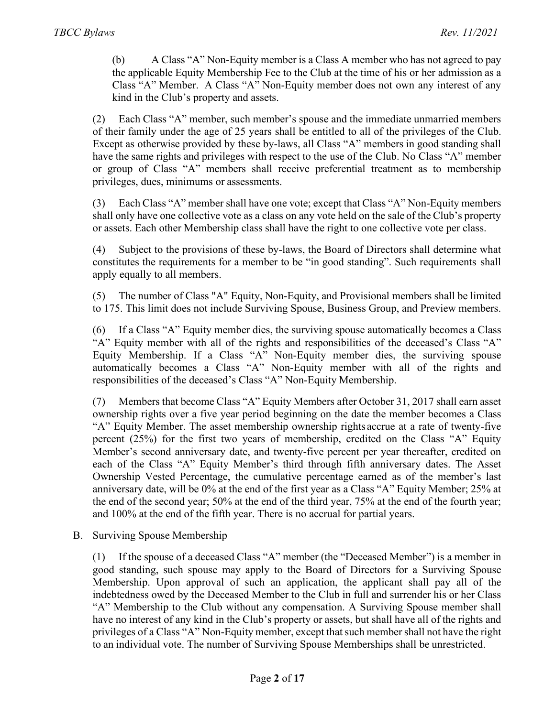(b) A Class "A" Non-Equity member is a Class A member who has not agreed to pay the applicable Equity Membership Fee to the Club at the time of his or her admission as a Class "A" Member. A Class "A" Non-Equity member does not own any interest of any kind in the Club's property and assets.

(2) Each Class "A" member, such member's spouse and the immediate unmarried members of their family under the age of 25 years shall be entitled to all of the privileges of the Club. Except as otherwise provided by these by-laws, all Class "A" members in good standing shall have the same rights and privileges with respect to the use of the Club. No Class "A" member or group of Class "A" members shall receive preferential treatment as to membership privileges, dues, minimums or assessments.

(3) Each Class "A" member shall have one vote; except that Class "A" Non-Equity members shall only have one collective vote as a class on any vote held on the sale of the Club's property or assets. Each other Membership class shall have the right to one collective vote per class.

(4) Subject to the provisions of these by-laws, the Board of Directors shall determine what constitutes the requirements for a member to be "in good standing". Such requirements shall apply equally to all members.

(5) The number of Class "A" Equity, Non-Equity, and Provisional members shall be limited to 175. This limit does not include Surviving Spouse, Business Group, and Preview members.

(6) If a Class "A" Equity member dies, the surviving spouse automatically becomes a Class "A" Equity member with all of the rights and responsibilities of the deceased's Class "A" Equity Membership. If a Class "A" Non-Equity member dies, the surviving spouse automatically becomes a Class "A" Non-Equity member with all of the rights and responsibilities of the deceased's Class "A" Non-Equity Membership.

(7) Members that become Class "A" Equity Members after October 31, 2017 shall earn asset ownership rights over a five year period beginning on the date the member becomes a Class "A" Equity Member. The asset membership ownership rights accrue at a rate of twenty-five percent (25%) for the first two years of membership, credited on the Class "A" Equity Member's second anniversary date, and twenty-five percent per year thereafter, credited on each of the Class "A" Equity Member's third through fifth anniversary dates. The Asset Ownership Vested Percentage, the cumulative percentage earned as of the member's last anniversary date, will be 0% at the end of the first year as a Class "A" Equity Member; 25% at the end of the second year; 50% at the end of the third year, 75% at the end of the fourth year; and 100% at the end of the fifth year. There is no accrual for partial years.

B. Surviving Spouse Membership

(1) If the spouse of a deceased Class "A" member (the "Deceased Member") is a member in good standing, such spouse may apply to the Board of Directors for a Surviving Spouse Membership. Upon approval of such an application, the applicant shall pay all of the indebtedness owed by the Deceased Member to the Club in full and surrender his or her Class "A" Membership to the Club without any compensation. A Surviving Spouse member shall have no interest of any kind in the Club's property or assets, but shall have all of the rights and privileges of a Class "A" Non-Equity member, except that such member shall not have the right to an individual vote. The number of Surviving Spouse Memberships shall be unrestricted.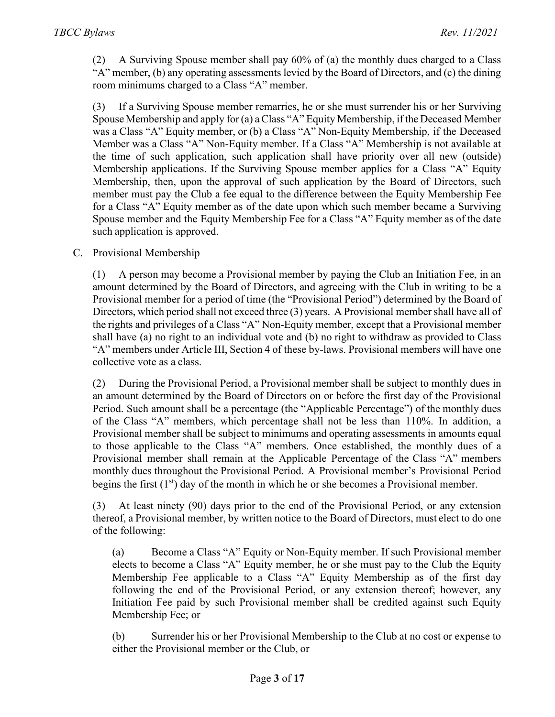(2) A Surviving Spouse member shall pay 60% of (a) the monthly dues charged to a Class "A" member, (b) any operating assessments levied by the Board of Directors, and (c) the dining room minimums charged to a Class "A" member.

(3) If a Surviving Spouse member remarries, he or she must surrender his or her Surviving Spouse Membership and apply for (a) aClass "A" Equity Membership, if the Deceased Member was a Class "A" Equity member, or (b) a Class "A" Non-Equity Membership, if the Deceased Member was a Class "A" Non-Equity member. If a Class "A" Membership is not available at the time of such application, such application shall have priority over all new (outside) Membership applications. If the Surviving Spouse member applies for a Class "A" Equity Membership, then, upon the approval of such application by the Board of Directors, such member must pay the Club a fee equal to the difference between the Equity Membership Fee for a Class "A" Equity member as of the date upon which such member became a Surviving Spouse member and the Equity Membership Fee for a Class "A" Equity member as of the date such application is approved.

C. Provisional Membership

(1) A person may become a Provisional member by paying the Club an Initiation Fee, in an amount determined by the Board of Directors, and agreeing with the Club in writing to be a Provisional member for a period of time (the "Provisional Period") determined by the Board of Directors, which period shall not exceed three (3) years. A Provisional member shall have all of the rights and privileges of a Class "A" Non-Equity member, except that a Provisional member shall have (a) no right to an individual vote and (b) no right to withdraw as provided to Class "A" members under Article III, Section 4 of these by-laws. Provisional members will have one collective vote as a class.

(2) During the Provisional Period, a Provisional member shall be subject to monthly dues in an amount determined by the Board of Directors on or before the first day of the Provisional Period. Such amount shall be a percentage (the "Applicable Percentage") of the monthly dues of the Class "A" members, which percentage shall not be less than 110%. In addition, a Provisional member shall be subject to minimums and operating assessments in amounts equal to those applicable to the Class "A" members. Once established, the monthly dues of a Provisional member shall remain at the Applicable Percentage of the Class "A" members monthly dues throughout the Provisional Period. A Provisional member's Provisional Period begins the first  $(1<sup>st</sup>)$  day of the month in which he or she becomes a Provisional member.

(3) At least ninety (90) days prior to the end of the Provisional Period, or any extension thereof, a Provisional member, by written notice to the Board of Directors, must elect to do one of the following:

(a) Become a Class "A" Equity or Non-Equity member. If such Provisional member elects to become a Class "A" Equity member, he or she must pay to the Club the Equity Membership Fee applicable to a Class "A" Equity Membership as of the first day following the end of the Provisional Period, or any extension thereof; however, any Initiation Fee paid by such Provisional member shall be credited against such Equity Membership Fee; or

(b) Surrender his or her Provisional Membership to the Club at no cost or expense to either the Provisional member or the Club, or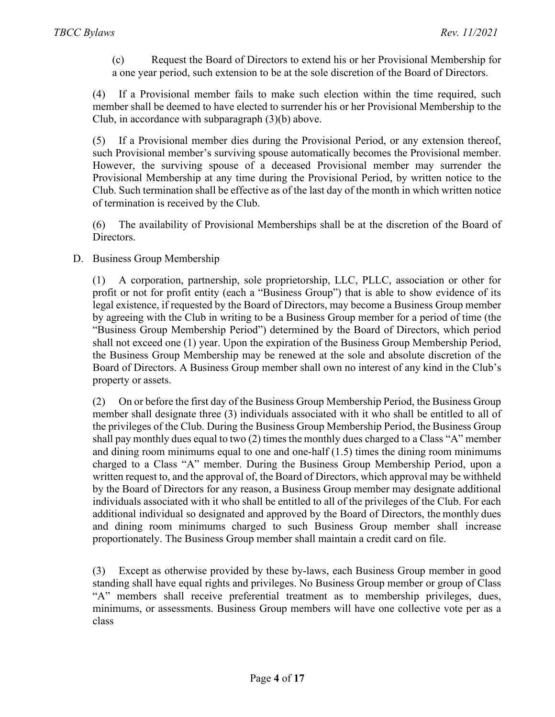(c) Request the Board of Directors to extend his or her Provisional Membership for a one year period, such extension to be at the sole discretion of the Board of Directors.

(4) If a Provisional member fails to make such election within the time required, such member shall be deemed to have elected to surrender his or her Provisional Membership to the Club, in accordance with subparagraph (3)(b) above.

(5) If a Provisional member dies during the Provisional Period, or any extension thereof, such Provisional member's surviving spouse automatically becomes the Provisional member. However, the surviving spouse of a deceased Provisional member may surrender the Provisional Membership at any time during the Provisional Period, by written notice to the Club. Such termination shall be effective as of the last day of the month in which written notice of termination is received by the Club.

(6) The availability of Provisional Memberships shall be at the discretion of the Board of Directors.

D. Business Group Membership

(1) A corporation, partnership, sole proprietorship, LLC, PLLC, association or other for profit or not for profit entity (each a "Business Group") that is able to show evidence of its legal existence, if requested by the Board of Directors, may become a Business Group member by agreeing with the Club in writing to be a Business Group member for a period of time (the "Business Group Membership Period") determined by the Board of Directors, which period shall not exceed one (1) year. Upon the expiration of the Business Group Membership Period, the Business Group Membership may be renewed at the sole and absolute discretion of the Board of Directors. A Business Group member shall own no interest of any kind in the Club's property or assets.

(2) On or before the first day of the Business Group Membership Period, the Business Group member shall designate three (3) individuals associated with it who shall be entitled to all of the privileges of the Club. During the Business Group Membership Period, the Business Group shall pay monthly dues equal to two  $(2)$  times the monthly dues charged to a Class "A" member and dining room minimums equal to one and one-half (1.5) times the dining room minimums charged to a Class "A" member. During the Business Group Membership Period, upon a written request to, and the approval of, the Board of Directors, which approval may be withheld by the Board of Directors for any reason, a Business Group member may designate additional individuals associated with it who shall be entitled to all of the privileges of the Club. For each additional individual so designated and approved by the Board of Directors, the monthly dues and dining room minimums charged to such Business Group member shall increase proportionately. The Business Group member shall maintain a credit card on file.

(3) Except as otherwise provided by these by-laws, each Business Group member in good standing shall have equal rights and privileges. No Business Group member or group of Class "A" members shall receive preferential treatment as to membership privileges, dues, minimums, or assessments. Business Group members will have one collective vote per as a class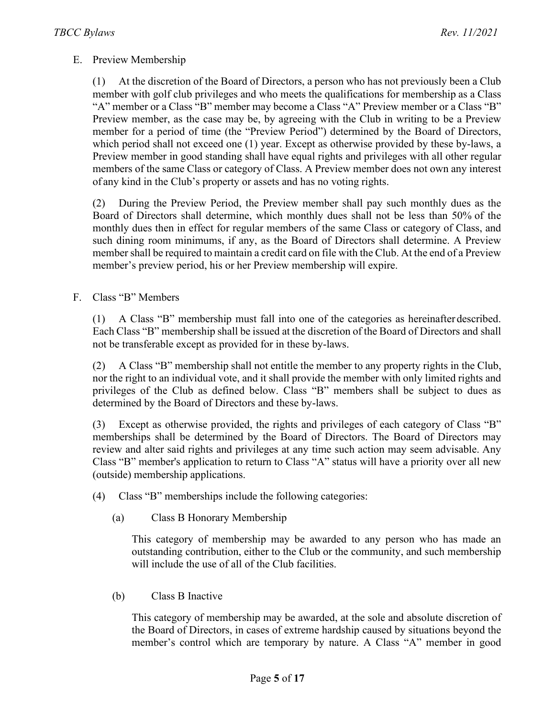#### E. Preview Membership

(1) At the discretion of the Board of Directors, a person who has not previously been a Club member with golf club privileges and who meets the qualifications for membership as a Class "A" member or a Class "B" member may become a Class "A" Preview member or a Class "B" Preview member, as the case may be, by agreeing with the Club in writing to be a Preview member for a period of time (the "Preview Period") determined by the Board of Directors, which period shall not exceed one (1) year. Except as otherwise provided by these by-laws, a Preview member in good standing shall have equal rights and privileges with all other regular members of the same Class or category of Class. A Preview member does not own any interest of any kind in the Club's property or assets and has no voting rights.

(2) During the Preview Period, the Preview member shall pay such monthly dues as the Board of Directors shall determine, which monthly dues shall not be less than 50% of the monthly dues then in effect for regular members of the same Class or category of Class, and such dining room minimums, if any, as the Board of Directors shall determine. A Preview member shall be required to maintain a credit card on file with the Club. At the end of a Preview member's preview period, his or her Preview membership will expire.

F. Class "B" Members

(1) A Class "B" membership must fall into one of the categories as hereinafter described. Each Class "B" membership shall be issued at the discretion of the Board of Directors and shall not be transferable except as provided for in these by-laws.

(2) A Class "B" membership shall not entitle the member to any property rights in the Club, nor the right to an individual vote, and it shall provide the member with only limited rights and privileges of the Club as defined below. Class "B" members shall be subject to dues as determined by the Board of Directors and these by-laws.

(3) Except as otherwise provided, the rights and privileges of each category of Class "B" memberships shall be determined by the Board of Directors. The Board of Directors may review and alter said rights and privileges at any time such action may seem advisable. Any Class "B" member's application to return to Class "A" status will have a priority over all new (outside) membership applications.

- (4) Class "B" memberships include the following categories:
	- (a) Class B Honorary Membership

This category of membership may be awarded to any person who has made an outstanding contribution, either to the Club or the community, and such membership will include the use of all of the Club facilities.

(b) Class B Inactive

This category of membership may be awarded, at the sole and absolute discretion of the Board of Directors, in cases of extreme hardship caused by situations beyond the member's control which are temporary by nature. A Class "A" member in good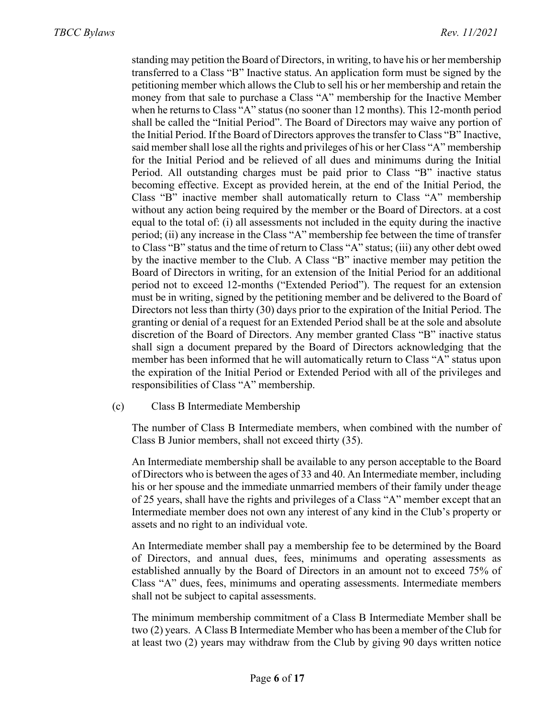standing may petition the Board of Directors, in writing, to have his or her membership transferred to a Class "B" Inactive status. An application form must be signed by the petitioning member which allows the Club to sell his or her membership and retain the money from that sale to purchase a Class "A" membership for the Inactive Member when he returns to Class "A" status (no sooner than 12 months). This 12-month period shall be called the "Initial Period". The Board of Directors may waive any portion of the Initial Period. If the Board of Directors approves the transfer to Class "B" Inactive, said membershall lose all the rights and privileges of his or her Class "A" membership for the Initial Period and be relieved of all dues and minimums during the Initial Period. All outstanding charges must be paid prior to Class "B" inactive status becoming effective. Except as provided herein, at the end of the Initial Period, the Class "B" inactive member shall automatically return to Class "A" membership without any action being required by the member or the Board of Directors. at a cost equal to the total of: (i) all assessments not included in the equity during the inactive period; (ii) any increase in the Class "A" membership fee between the time of transfer to Class "B" status and the time of return to Class "A" status; (iii) any other debt owed by the inactive member to the Club. A Class "B" inactive member may petition the Board of Directors in writing, for an extension of the Initial Period for an additional period not to exceed 12-months ("Extended Period"). The request for an extension must be in writing, signed by the petitioning member and be delivered to the Board of Directors not less than thirty (30) days prior to the expiration of the Initial Period. The granting or denial of a request for an Extended Period shall be at the sole and absolute discretion of the Board of Directors. Any member granted Class "B" inactive status shall sign a document prepared by the Board of Directors acknowledging that the member has been informed that he will automatically return to Class "A" status upon the expiration of the Initial Period or Extended Period with all of the privileges and responsibilities of Class "A" membership.

(c) Class B Intermediate Membership

The number of Class B Intermediate members, when combined with the number of Class B Junior members, shall not exceed thirty (35).

An Intermediate membership shall be available to any person acceptable to the Board of Directors who is between the ages of 33 and 40. An Intermediate member, including his or her spouse and the immediate unmarried members of their family under theage of 25 years, shall have the rights and privileges of a Class "A" member except that an Intermediate member does not own any interest of any kind in the Club's property or assets and no right to an individual vote.

An Intermediate member shall pay a membership fee to be determined by the Board of Directors, and annual dues, fees, minimums and operating assessments as established annually by the Board of Directors in an amount not to exceed 75% of Class "A" dues, fees, minimums and operating assessments. Intermediate members shall not be subject to capital assessments.

The minimum membership commitment of a Class B Intermediate Member shall be two (2) years. A Class B Intermediate Member who has been a member of the Club for at least two (2) years may withdraw from the Club by giving 90 days written notice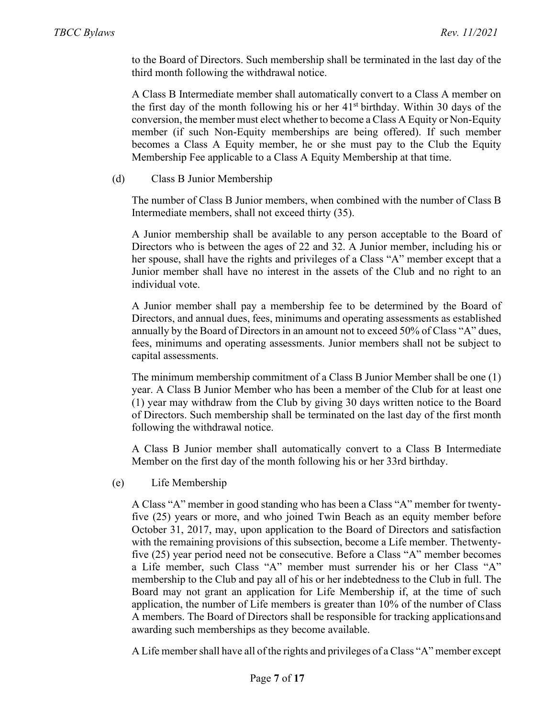to the Board of Directors. Such membership shall be terminated in the last day of the third month following the withdrawal notice.

A Class B Intermediate member shall automatically convert to a Class A member on the first day of the month following his or her  $41<sup>st</sup>$  birthday. Within 30 days of the conversion, the member must elect whether to become a Class A Equity or Non-Equity member (if such Non-Equity memberships are being offered). If such member becomes a Class A Equity member, he or she must pay to the Club the Equity Membership Fee applicable to a Class A Equity Membership at that time.

(d) Class B Junior Membership

The number of Class B Junior members, when combined with the number of Class B Intermediate members, shall not exceed thirty (35).

A Junior membership shall be available to any person acceptable to the Board of Directors who is between the ages of 22 and 32. A Junior member, including his or her spouse, shall have the rights and privileges of a Class "A" member except that a Junior member shall have no interest in the assets of the Club and no right to an individual vote.

A Junior member shall pay a membership fee to be determined by the Board of Directors, and annual dues, fees, minimums and operating assessments as established annually by the Board of Directors in an amount not to exceed 50% of Class "A" dues, fees, minimums and operating assessments. Junior members shall not be subject to capital assessments.

The minimum membership commitment of a Class B Junior Member shall be one (1) year. A Class B Junior Member who has been a member of the Club for at least one (1) year may withdraw from the Club by giving 30 days written notice to the Board of Directors. Such membership shall be terminated on the last day of the first month following the withdrawal notice.

A Class B Junior member shall automatically convert to a Class B Intermediate Member on the first day of the month following his or her 33rd birthday.

(e) Life Membership

A Class "A" member in good standing who has been a Class "A" member for twentyfive (25) years or more, and who joined Twin Beach as an equity member before October 31, 2017, may, upon application to the Board of Directors and satisfaction with the remaining provisions of this subsection, become a Life member. Thetwentyfive (25) year period need not be consecutive. Before a Class "A" member becomes a Life member, such Class "A" member must surrender his or her Class "A" membership to the Club and pay all of his or her indebtedness to the Club in full. The Board may not grant an application for Life Membership if, at the time of such application, the number of Life members is greater than 10% of the number of Class A members. The Board of Directors shall be responsible for tracking applicationsand awarding such memberships as they become available.

A Life member shall have all of the rights and privileges of a Class "A" member except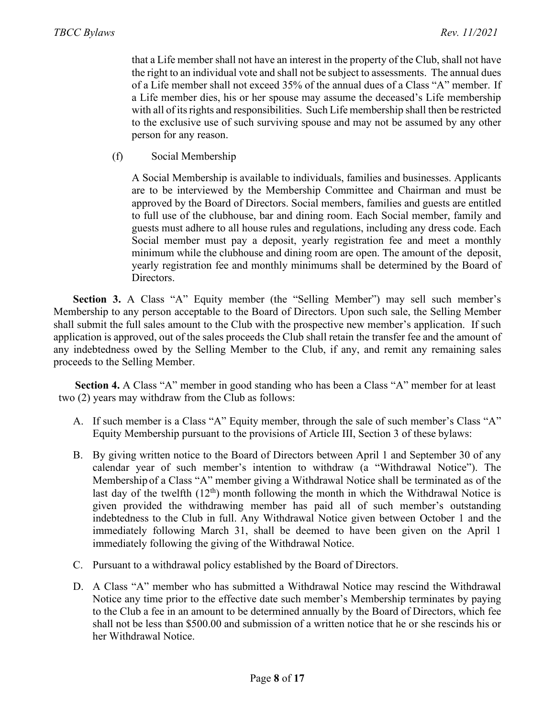that a Life member shall not have an interest in the property of the Club, shall not have the right to an individual vote and shall not be subject to assessments. The annual dues of a Life member shall not exceed 35% of the annual dues of a Class "A" member. If a Life member dies, his or her spouse may assume the deceased's Life membership with all of its rights and responsibilities. Such Life membership shall then be restricted to the exclusive use of such surviving spouse and may not be assumed by any other person for any reason.

(f) Social Membership

A Social Membership is available to individuals, families and businesses. Applicants are to be interviewed by the Membership Committee and Chairman and must be approved by the Board of Directors. Social members, families and guests are entitled to full use of the clubhouse, bar and dining room. Each Social member, family and guests must adhere to all house rules and regulations, including any dress code. Each Social member must pay a deposit, yearly registration fee and meet a monthly minimum while the clubhouse and dining room are open. The amount of the deposit, yearly registration fee and monthly minimums shall be determined by the Board of Directors.

**Section 3.** A Class "A" Equity member (the "Selling Member") may sell such member's Membership to any person acceptable to the Board of Directors. Upon such sale, the Selling Member shall submit the full sales amount to the Club with the prospective new member's application. If such application is approved, out of the sales proceeds the Club shall retain the transfer fee and the amount of any indebtedness owed by the Selling Member to the Club, if any, and remit any remaining sales proceeds to the Selling Member.

**Section 4.** A Class "A" member in good standing who has been a Class "A" member for at least two (2) years may withdraw from the Club as follows:

- A. If such member is a Class "A" Equity member, through the sale of such member's Class "A" Equity Membership pursuant to the provisions of Article III, Section 3 of these bylaws:
- B. By giving written notice to the Board of Directors between April 1 and September 30 of any calendar year of such member's intention to withdraw (a "Withdrawal Notice"). The Membership of a Class "A" member giving a Withdrawal Notice shall be terminated as of the last day of the twelfth  $(12<sup>th</sup>)$  month following the month in which the Withdrawal Notice is given provided the withdrawing member has paid all of such member's outstanding indebtedness to the Club in full. Any Withdrawal Notice given between October 1 and the immediately following March 31, shall be deemed to have been given on the April 1 immediately following the giving of the Withdrawal Notice.
- C. Pursuant to a withdrawal policy established by the Board of Directors.
- D. A Class "A" member who has submitted a Withdrawal Notice may rescind the Withdrawal Notice any time prior to the effective date such member's Membership terminates by paying to the Club a fee in an amount to be determined annually by the Board of Directors, which fee shall not be less than \$500.00 and submission of a written notice that he or she rescinds his or her Withdrawal Notice.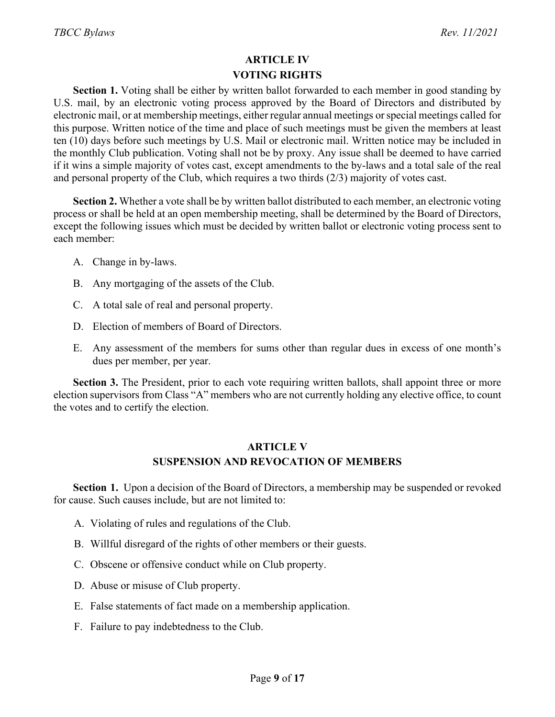## **ARTICLE IV VOTING RIGHTS**

**Section 1.** Voting shall be either by written ballot forwarded to each member in good standing by U.S. mail, by an electronic voting process approved by the Board of Directors and distributed by electronic mail, or at membership meetings, either regular annual meetings orspecial meetings called for this purpose. Written notice of the time and place of such meetings must be given the members at least ten (10) days before such meetings by U.S. Mail or electronic mail. Written notice may be included in the monthly Club publication. Voting shall not be by proxy. Any issue shall be deemed to have carried if it wins a simple majority of votes cast, except amendments to the by-laws and a total sale of the real and personal property of the Club, which requires a two thirds (2/3) majority of votes cast.

**Section 2.** Whether a vote shall be by written ballot distributed to each member, an electronic voting process or shall be held at an open membership meeting, shall be determined by the Board of Directors, except the following issues which must be decided by written ballot or electronic voting process sent to each member:

- A. Change in by-laws.
- B. Any mortgaging of the assets of the Club.
- C. A total sale of real and personal property.
- D. Election of members of Board of Directors.
- E. Any assessment of the members for sums other than regular dues in excess of one month's dues per member, per year.

**Section 3.** The President, prior to each vote requiring written ballots, shall appoint three or more election supervisors from Class "A" members who are not currently holding any elective office, to count the votes and to certify the election.

#### **ARTICLE V SUSPENSION AND REVOCATION OF MEMBERS**

**Section 1.** Upon a decision of the Board of Directors, a membership may be suspended or revoked for cause. Such causes include, but are not limited to:

- A. Violating of rules and regulations of the Club.
- B. Willful disregard of the rights of other members or their guests.
- C. Obscene or offensive conduct while on Club property.
- D. Abuse or misuse of Club property.
- E. False statements of fact made on a membership application.
- F. Failure to pay indebtedness to the Club.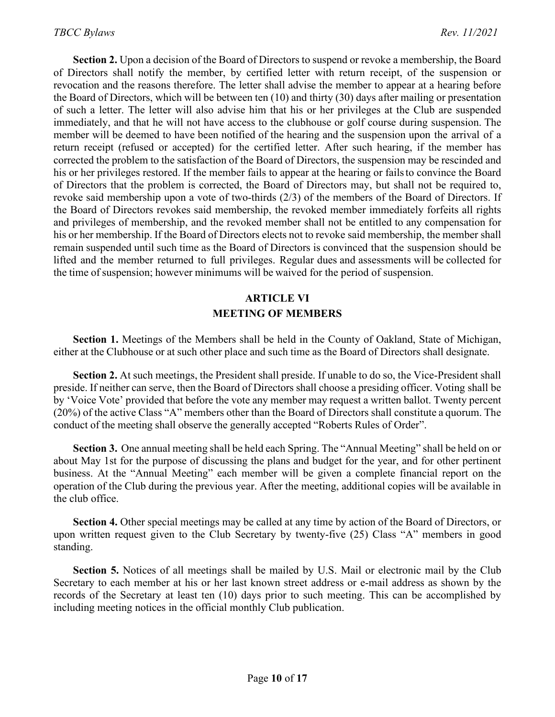**Section 2.** Upon a decision of the Board of Directors to suspend or revoke a membership, the Board of Directors shall notify the member, by certified letter with return receipt, of the suspension or revocation and the reasons therefore. The letter shall advise the member to appear at a hearing before the Board of Directors, which will be between ten (10) and thirty (30) days after mailing or presentation of such a letter. The letter will also advise him that his or her privileges at the Club are suspended immediately, and that he will not have access to the clubhouse or golf course during suspension. The member will be deemed to have been notified of the hearing and the suspension upon the arrival of a return receipt (refused or accepted) for the certified letter. After such hearing, if the member has corrected the problem to the satisfaction of the Board of Directors, the suspension may be rescinded and his or her privileges restored. If the member fails to appear at the hearing or failsto convince the Board of Directors that the problem is corrected, the Board of Directors may, but shall not be required to, revoke said membership upon a vote of two-thirds (2/3) of the members of the Board of Directors. If the Board of Directors revokes said membership, the revoked member immediately forfeits all rights and privileges of membership, and the revoked member shall not be entitled to any compensation for his or her membership. If the Board of Directors elects not to revoke said membership, the member shall remain suspended until such time as the Board of Directors is convinced that the suspension should be lifted and the member returned to full privileges. Regular dues and assessments will be collected for the time of suspension; however minimums will be waived for the period of suspension.

## **ARTICLE VI MEETING OF MEMBERS**

**Section 1.** Meetings of the Members shall be held in the County of Oakland, State of Michigan, either at the Clubhouse or at such other place and such time as the Board of Directors shall designate.

**Section 2.** At such meetings, the President shall preside. If unable to do so, the Vice-President shall preside. If neither can serve, then the Board of Directors shall choose a presiding officer. Voting shall be by 'Voice Vote' provided that before the vote any member may request a written ballot. Twenty percent (20%) of the active Class "A" members other than the Board of Directors shall constitute a quorum. The conduct of the meeting shall observe the generally accepted "Roberts Rules of Order".

**Section 3.** One annual meeting shall be held each Spring. The "Annual Meeting" shall be held on or about May 1st for the purpose of discussing the plans and budget for the year, and for other pertinent business. At the "Annual Meeting" each member will be given a complete financial report on the operation of the Club during the previous year. After the meeting, additional copies will be available in the club office.

**Section 4.** Other special meetings may be called at any time by action of the Board of Directors, or upon written request given to the Club Secretary by twenty-five (25) Class "A" members in good standing.

**Section 5.** Notices of all meetings shall be mailed by U.S. Mail or electronic mail by the Club Secretary to each member at his or her last known street address or e-mail address as shown by the records of the Secretary at least ten (10) days prior to such meeting. This can be accomplished by including meeting notices in the official monthly Club publication.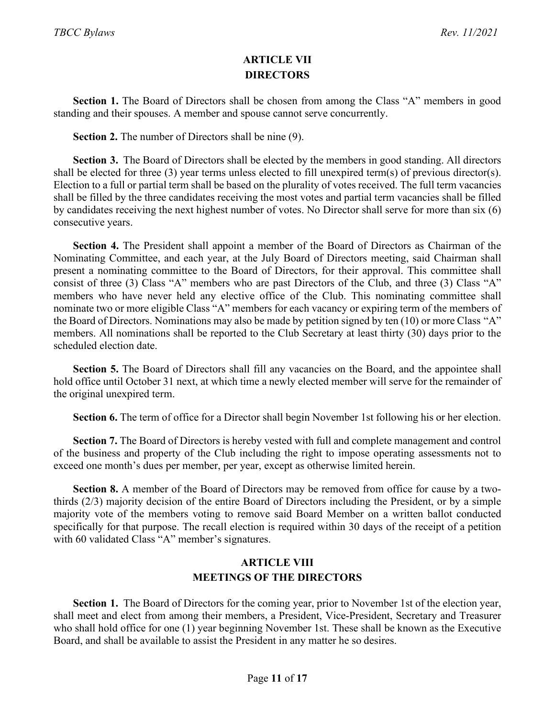### **ARTICLE VII DIRECTORS**

**Section 1.** The Board of Directors shall be chosen from among the Class "A" members in good standing and their spouses. A member and spouse cannot serve concurrently.

**Section 2.** The number of Directors shall be nine (9).

**Section 3.** The Board of Directors shall be elected by the members in good standing. All directors shall be elected for three  $(3)$  year terms unless elected to fill unexpired term $(s)$  of previous director $(s)$ . Election to a full or partial term shall be based on the plurality of votes received. The full term vacancies shall be filled by the three candidates receiving the most votes and partial term vacancies shall be filled by candidates receiving the next highest number of votes. No Director shall serve for more than six (6) consecutive years.

**Section 4.** The President shall appoint a member of the Board of Directors as Chairman of the Nominating Committee, and each year, at the July Board of Directors meeting, said Chairman shall present a nominating committee to the Board of Directors, for their approval. This committee shall consist of three (3) Class "A" members who are past Directors of the Club, and three (3) Class "A" members who have never held any elective office of the Club. This nominating committee shall nominate two or more eligible Class "A" members for each vacancy or expiring term of the members of the Board of Directors. Nominations may also be made by petition signed by ten (10) or more Class "A" members. All nominations shall be reported to the Club Secretary at least thirty (30) days prior to the scheduled election date.

**Section 5.** The Board of Directors shall fill any vacancies on the Board, and the appointee shall hold office until October 31 next, at which time a newly elected member will serve for the remainder of the original unexpired term.

**Section 6.** The term of office for a Director shall begin November 1st following his or her election.

**Section 7.** The Board of Directors is hereby vested with full and complete management and control of the business and property of the Club including the right to impose operating assessments not to exceed one month's dues per member, per year, except as otherwise limited herein.

**Section 8.** A member of the Board of Directors may be removed from office for cause by a twothirds (2/3) majority decision of the entire Board of Directors including the President, or by a simple majority vote of the members voting to remove said Board Member on a written ballot conducted specifically for that purpose. The recall election is required within 30 days of the receipt of a petition with 60 validated Class "A" member's signatures.

### **ARTICLE VIII MEETINGS OF THE DIRECTORS**

**Section 1.** The Board of Directors for the coming year, prior to November 1st of the election year, shall meet and elect from among their members, a President, Vice-President, Secretary and Treasurer who shall hold office for one (1) year beginning November 1st. These shall be known as the Executive Board, and shall be available to assist the President in any matter he so desires.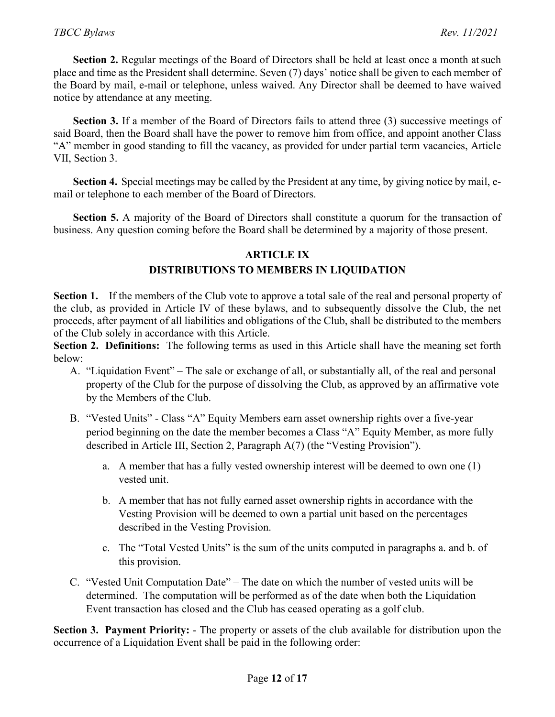**Section 2.** Regular meetings of the Board of Directors shall be held at least once a month at such place and time as the President shall determine. Seven (7) days' notice shall be given to each member of the Board by mail, e-mail or telephone, unless waived. Any Director shall be deemed to have waived notice by attendance at any meeting.

Section 3. If a member of the Board of Directors fails to attend three (3) successive meetings of said Board, then the Board shall have the power to remove him from office, and appoint another Class "A" member in good standing to fill the vacancy, as provided for under partial term vacancies, Article VII, Section 3.

**Section 4.** Special meetings may be called by the President at any time, by giving notice by mail, email or telephone to each member of the Board of Directors.

**Section 5.** A majority of the Board of Directors shall constitute a quorum for the transaction of business. Any question coming before the Board shall be determined by a majority of those present.

#### **ARTICLE IX**

#### **DISTRIBUTIONS TO MEMBERS IN LIQUIDATION**

**Section 1.** If the members of the Club vote to approve a total sale of the real and personal property of the club, as provided in Article IV of these bylaws, and to subsequently dissolve the Club, the net proceeds, after payment of all liabilities and obligations of the Club, shall be distributed to the members of the Club solely in accordance with this Article.

**Section 2. Definitions:** The following terms as used in this Article shall have the meaning set forth below:

- A. "Liquidation Event" The sale or exchange of all, or substantially all, of the real and personal property of the Club for the purpose of dissolving the Club, as approved by an affirmative vote by the Members of the Club.
- B. "Vested Units" Class "A" Equity Members earn asset ownership rights over a five-year period beginning on the date the member becomes a Class "A" Equity Member, as more fully described in Article III, Section 2, Paragraph A(7) (the "Vesting Provision").
	- a. A member that has a fully vested ownership interest will be deemed to own one (1) vested unit.
	- b. A member that has not fully earned asset ownership rights in accordance with the Vesting Provision will be deemed to own a partial unit based on the percentages described in the Vesting Provision.
	- c. The "Total Vested Units" is the sum of the units computed in paragraphs a. and b. of this provision.
- C. "Vested Unit Computation Date" The date on which the number of vested units will be determined. The computation will be performed as of the date when both the Liquidation Event transaction has closed and the Club has ceased operating as a golf club.

**Section 3. Payment Priority:** - The property or assets of the club available for distribution upon the occurrence of a Liquidation Event shall be paid in the following order: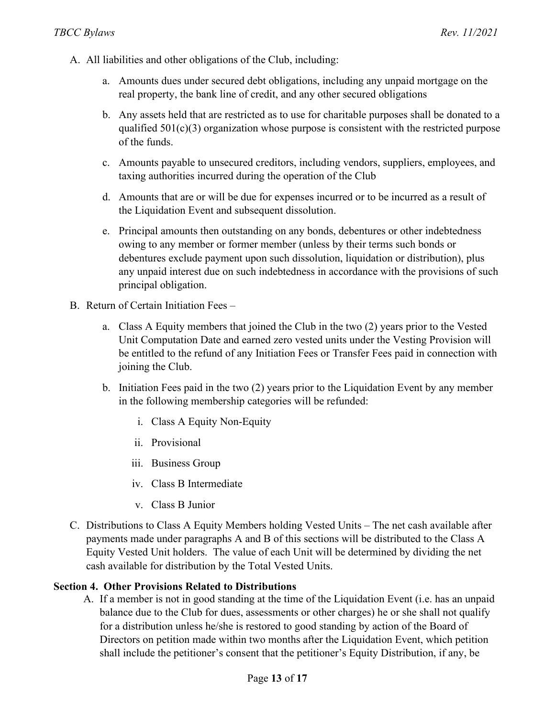- A. All liabilities and other obligations of the Club, including:
	- a. Amounts dues under secured debt obligations, including any unpaid mortgage on the real property, the bank line of credit, and any other secured obligations
	- b. Any assets held that are restricted as to use for charitable purposes shall be donated to a qualified  $501(c)(3)$  organization whose purpose is consistent with the restricted purpose of the funds.
	- c. Amounts payable to unsecured creditors, including vendors, suppliers, employees, and taxing authorities incurred during the operation of the Club
	- d. Amounts that are or will be due for expenses incurred or to be incurred as a result of the Liquidation Event and subsequent dissolution.
	- e. Principal amounts then outstanding on any bonds, debentures or other indebtedness owing to any member or former member (unless by their terms such bonds or debentures exclude payment upon such dissolution, liquidation or distribution), plus any unpaid interest due on such indebtedness in accordance with the provisions of such principal obligation.
- B. Return of Certain Initiation Fees
	- a. Class A Equity members that joined the Club in the two (2) years prior to the Vested Unit Computation Date and earned zero vested units under the Vesting Provision will be entitled to the refund of any Initiation Fees or Transfer Fees paid in connection with joining the Club.
	- b. Initiation Fees paid in the two (2) years prior to the Liquidation Event by any member in the following membership categories will be refunded:
		- i. Class A Equity Non-Equity
		- ii. Provisional
		- iii. Business Group
		- iv. Class B Intermediate
		- v. Class B Junior
- C. Distributions to Class A Equity Members holding Vested Units The net cash available after payments made under paragraphs A and B of this sections will be distributed to the Class A Equity Vested Unit holders. The value of each Unit will be determined by dividing the net cash available for distribution by the Total Vested Units.

#### **Section 4. Other Provisions Related to Distributions**

A. If a member is not in good standing at the time of the Liquidation Event (i.e. has an unpaid balance due to the Club for dues, assessments or other charges) he or she shall not qualify for a distribution unless he/she is restored to good standing by action of the Board of Directors on petition made within two months after the Liquidation Event, which petition shall include the petitioner's consent that the petitioner's Equity Distribution, if any, be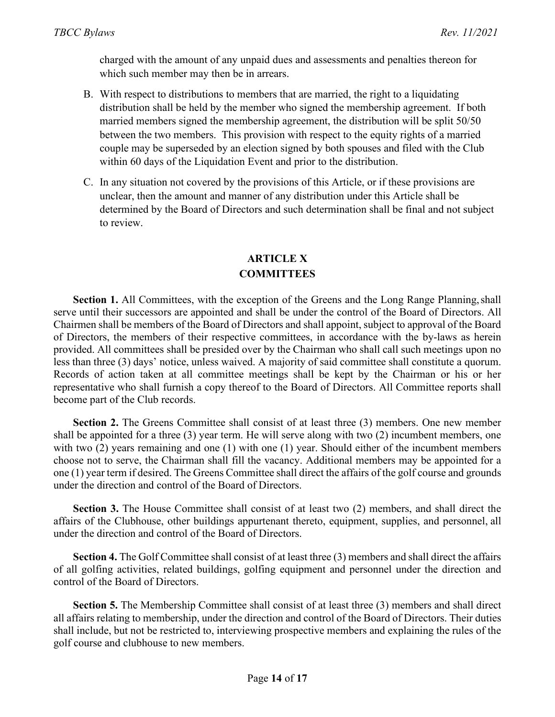charged with the amount of any unpaid dues and assessments and penalties thereon for which such member may then be in arrears.

- B. With respect to distributions to members that are married, the right to a liquidating distribution shall be held by the member who signed the membership agreement. If both married members signed the membership agreement, the distribution will be split 50/50 between the two members. This provision with respect to the equity rights of a married couple may be superseded by an election signed by both spouses and filed with the Club within 60 days of the Liquidation Event and prior to the distribution.
- C. In any situation not covered by the provisions of this Article, or if these provisions are unclear, then the amount and manner of any distribution under this Article shall be determined by the Board of Directors and such determination shall be final and not subject to review.

## **ARTICLE X COMMITTEES**

**Section 1.** All Committees, with the exception of the Greens and the Long Range Planning, shall serve until their successors are appointed and shall be under the control of the Board of Directors. All Chairmen shall be members of the Board of Directors and shall appoint, subject to approval of the Board of Directors, the members of their respective committees, in accordance with the by-laws as herein provided. All committees shall be presided over by the Chairman who shall call such meetings upon no less than three (3) days' notice, unless waived. A majority of said committee shall constitute a quorum. Records of action taken at all committee meetings shall be kept by the Chairman or his or her representative who shall furnish a copy thereof to the Board of Directors. All Committee reports shall become part of the Club records.

**Section 2.** The Greens Committee shall consist of at least three (3) members. One new member shall be appointed for a three (3) year term. He will serve along with two (2) incumbent members, one with two (2) years remaining and one (1) with one (1) year. Should either of the incumbent members choose not to serve, the Chairman shall fill the vacancy. Additional members may be appointed for a one (1) year term if desired. The Greens Committee shall direct the affairs of the golf course and grounds under the direction and control of the Board of Directors.

**Section 3.** The House Committee shall consist of at least two (2) members, and shall direct the affairs of the Clubhouse, other buildings appurtenant thereto, equipment, supplies, and personnel, all under the direction and control of the Board of Directors.

**Section 4.** The Golf Committee shall consist of at least three (3) members and shall direct the affairs of all golfing activities, related buildings, golfing equipment and personnel under the direction and control of the Board of Directors.

**Section 5.** The Membership Committee shall consist of at least three (3) members and shall direct all affairs relating to membership, under the direction and control of the Board of Directors. Their duties shall include, but not be restricted to, interviewing prospective members and explaining the rules of the golf course and clubhouse to new members.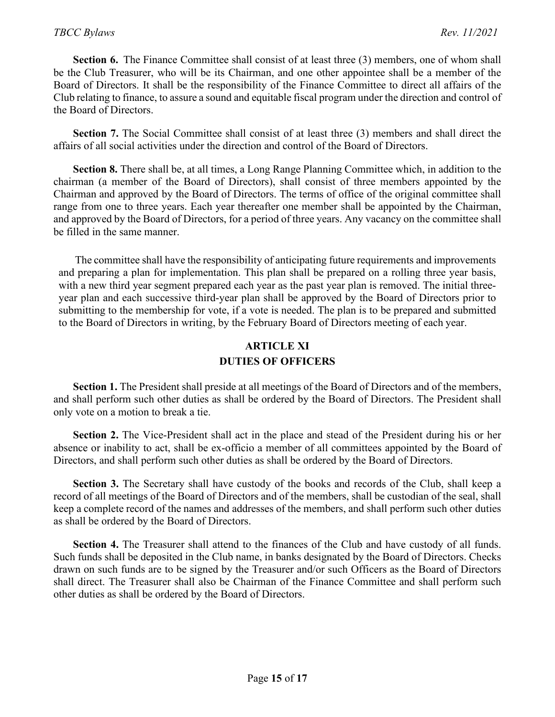**Section 6.** The Finance Committee shall consist of at least three (3) members, one of whom shall be the Club Treasurer, who will be its Chairman, and one other appointee shall be a member of the Board of Directors. It shall be the responsibility of the Finance Committee to direct all affairs of the Club relating to finance, to assure a sound and equitable fiscal program under the direction and control of the Board of Directors.

**Section 7.** The Social Committee shall consist of at least three (3) members and shall direct the affairs of all social activities under the direction and control of the Board of Directors.

**Section 8.** There shall be, at all times, a Long Range Planning Committee which, in addition to the chairman (a member of the Board of Directors), shall consist of three members appointed by the Chairman and approved by the Board of Directors. The terms of office of the original committee shall range from one to three years. Each year thereafter one member shall be appointed by the Chairman, and approved by the Board of Directors, for a period of three years. Any vacancy on the committee shall be filled in the same manner.

The committee shall have the responsibility of anticipating future requirements and improvements and preparing a plan for implementation. This plan shall be prepared on a rolling three year basis, with a new third year segment prepared each year as the past year plan is removed. The initial threeyear plan and each successive third-year plan shall be approved by the Board of Directors prior to submitting to the membership for vote, if a vote is needed. The plan is to be prepared and submitted to the Board of Directors in writing, by the February Board of Directors meeting of each year.

### **ARTICLE XI DUTIES OF OFFICERS**

**Section 1.** The President shall preside at all meetings of the Board of Directors and of the members, and shall perform such other duties as shall be ordered by the Board of Directors. The President shall only vote on a motion to break a tie.

**Section 2.** The Vice-President shall act in the place and stead of the President during his or her absence or inability to act, shall be ex-officio a member of all committees appointed by the Board of Directors, and shall perform such other duties as shall be ordered by the Board of Directors.

Section 3. The Secretary shall have custody of the books and records of the Club, shall keep a record of all meetings of the Board of Directors and of the members, shall be custodian of the seal, shall keep a complete record of the names and addresses of the members, and shall perform such other duties as shall be ordered by the Board of Directors.

**Section 4.** The Treasurer shall attend to the finances of the Club and have custody of all funds. Such funds shall be deposited in the Club name, in banks designated by the Board of Directors. Checks drawn on such funds are to be signed by the Treasurer and/or such Officers as the Board of Directors shall direct. The Treasurer shall also be Chairman of the Finance Committee and shall perform such other duties as shall be ordered by the Board of Directors.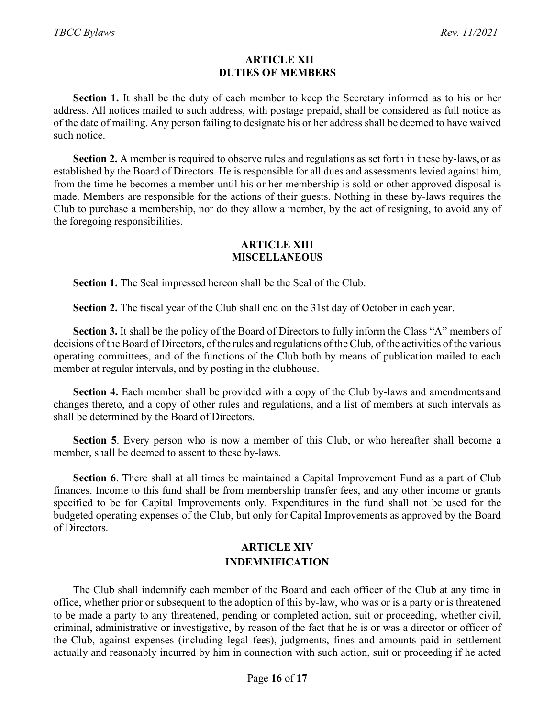#### **ARTICLE XII DUTIES OF MEMBERS**

**Section 1.** It shall be the duty of each member to keep the Secretary informed as to his or her address. All notices mailed to such address, with postage prepaid, shall be considered as full notice as of the date of mailing. Any person failing to designate his or her address shall be deemed to have waived such notice.

**Section 2.** A member is required to observe rules and regulations as set forth in these by-laws,or as established by the Board of Directors. He is responsible for all dues and assessments levied against him, from the time he becomes a member until his or her membership is sold or other approved disposal is made. Members are responsible for the actions of their guests. Nothing in these by-laws requires the Club to purchase a membership, nor do they allow a member, by the act of resigning, to avoid any of the foregoing responsibilities.

#### **ARTICLE XIII MISCELLANEOUS**

**Section 1.** The Seal impressed hereon shall be the Seal of the Club.

**Section 2.** The fiscal year of the Club shall end on the 31st day of October in each year.

**Section 3.** It shall be the policy of the Board of Directors to fully inform the Class "A" members of decisions of the Board of Directors, of the rules and regulations of the Club, of the activities of the various operating committees, and of the functions of the Club both by means of publication mailed to each member at regular intervals, and by posting in the clubhouse.

**Section 4.** Each member shall be provided with a copy of the Club by-laws and amendments and changes thereto, and a copy of other rules and regulations, and a list of members at such intervals as shall be determined by the Board of Directors.

**Section 5**. Every person who is now a member of this Club, or who hereafter shall become a member, shall be deemed to assent to these by-laws.

**Section 6**. There shall at all times be maintained a Capital Improvement Fund as a part of Club finances. Income to this fund shall be from membership transfer fees, and any other income or grants specified to be for Capital Improvements only. Expenditures in the fund shall not be used for the budgeted operating expenses of the Club, but only for Capital Improvements as approved by the Board of Directors.

### **ARTICLE XIV INDEMNIFICATION**

The Club shall indemnify each member of the Board and each officer of the Club at any time in office, whether prior or subsequent to the adoption of this by-law, who was or is a party or is threatened to be made a party to any threatened, pending or completed action, suit or proceeding, whether civil, criminal, administrative or investigative, by reason of the fact that he is or was a director or officer of the Club, against expenses (including legal fees), judgments, fines and amounts paid in settlement actually and reasonably incurred by him in connection with such action, suit or proceeding if he acted